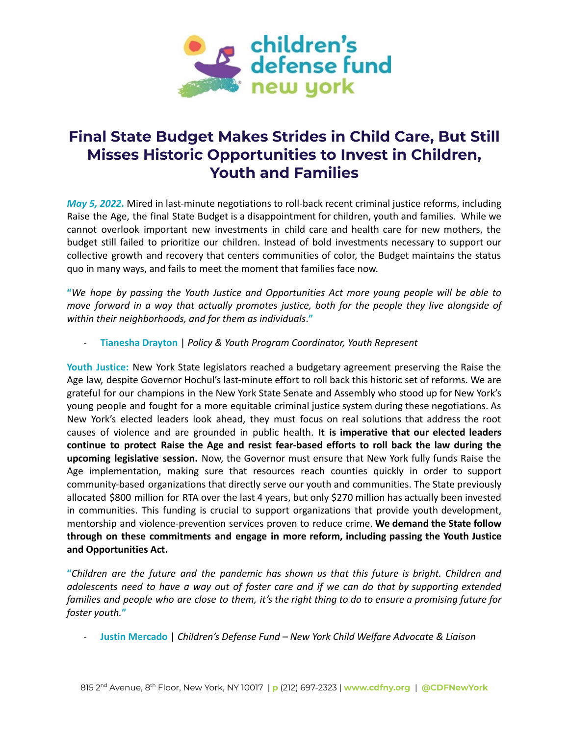

## **Final State Budget Makes Strides in Child Care, But Still Misses Historic Opportunities to Invest in Children, Youth and Families**

*May 5, 2022.* Mired in last-minute negotiations to roll-back recent criminal justice reforms, including Raise the Age, the final State Budget is a disappointment for children, youth and families. While we cannot overlook important new investments in child care and health care for new mothers, the budget still failed to prioritize our children. Instead of bold investments necessary to support our collective growth and recovery that centers communities of color, the Budget maintains the status quo in many ways, and fails to meet the moment that families face now.

**"***We hope by passing the Youth Justice and Opportunities Act more young people will be able to move forward in a way that actually promotes justice, both for the people they live alongside of within their neighborhoods, and for them as individuals*.**"**

- **Tianesha Drayton** | *Policy & Youth Program Coordinator, Youth Represent*

**Youth Justice:** New York State legislators reached a budgetary agreement preserving the Raise the Age law, despite Governor Hochul's last-minute effort to roll back this historic set of reforms. We are grateful for our champions in the New York State Senate and Assembly who stood up for New York's young people and fought for a more equitable criminal justice system during these negotiations. As New York's elected leaders look ahead, they must focus on real solutions that address the root causes of violence and are grounded in public health. **It is imperative that our elected leaders continue to protect Raise the Age and resist fear-based efforts to roll back the law during the upcoming legislative session.** Now, the Governor must ensure that New York fully funds Raise the Age implementation, making sure that resources reach counties quickly in order to support community-based organizations that directly serve our youth and communities. The State previously allocated \$800 million for RTA over the last 4 years, but only \$270 million has actually been invested in communities. This funding is crucial to support organizations that provide youth development, mentorship and violence-prevention services proven to reduce crime. **We demand the State follow through on these commitments and engage in more reform, including passing the Youth Justice and Opportunities Act.**

**"***Children are the future and the pandemic has shown us that this future is bright. Children and* adolescents need to have a way out of foster care and if we can do that by supporting extended families and people who are close to them, it's the right thing to do to ensure a promising future for *foster youth.***"**

- **Justin Mercado** | *Children's Defense Fund – New York Child Welfare Advocate & Liaison*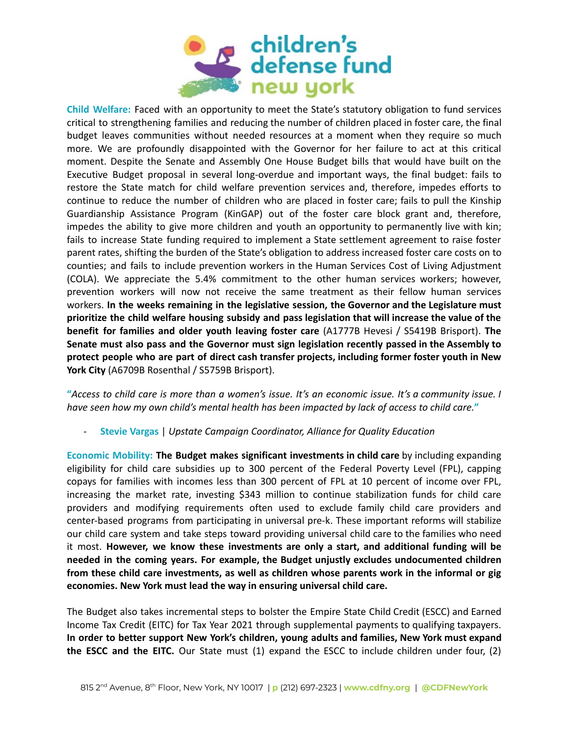

**Child Welfare:** Faced with an opportunity to meet the State's statutory obligation to fund services critical to strengthening families and reducing the number of children placed in foster care, the final budget leaves communities without needed resources at a moment when they require so much more. We are profoundly disappointed with the Governor for her failure to act at this critical moment. Despite the Senate and Assembly One House Budget bills that would have built on the Executive Budget proposal in several long-overdue and important ways, the final budget: fails to restore the State match for child welfare prevention services and, therefore, impedes efforts to continue to reduce the number of children who are placed in foster care; fails to pull the Kinship Guardianship Assistance Program (KinGAP) out of the foster care block grant and, therefore, impedes the ability to give more children and youth an opportunity to permanently live with kin; fails to increase State funding required to implement a State settlement agreement to raise foster parent rates, shifting the burden of the State's obligation to address increased foster care costs on to counties; and fails to include prevention workers in the Human Services Cost of Living Adjustment (COLA). We appreciate the 5.4% commitment to the other human services workers; however, prevention workers will now not receive the same treatment as their fellow human services workers. **In the weeks remaining in the legislative session, the Governor and the Legislature must prioritize the child welfare housing subsidy and pass legislation that will increase the value of the benefit for families and older youth leaving foster care** (A1777B Hevesi / S5419B Brisport). **The Senate must also pass and the Governor must sign legislation recently passed in the Assembly to protect people who are part of direct cash transfer projects, including former foster youth in New York City** (A6709B Rosenthal / S5759B Brisport).

"Access to child care is more than a women's issue. It's an economic issue. It's a community issue. I have seen how my own child's mental health has been impacted by lack of access to child care."

- **Stevie Vargas** | *Upstate Campaign Coordinator, Alliance for Quality Education*

**Economic Mobility: The Budget makes significant investments in child care** by including expanding eligibility for child care subsidies up to 300 percent of the Federal Poverty Level (FPL), capping copays for families with incomes less than 300 percent of FPL at 10 percent of income over FPL, increasing the market rate, investing \$343 million to continue stabilization funds for child care providers and modifying requirements often used to exclude family child care providers and center-based programs from participating in universal pre-k. These important reforms will stabilize our child care system and take steps toward providing universal child care to the families who need it most. **However, we know these investments are only a start, and additional funding will be needed in the coming years. For example, the Budget unjustly excludes undocumented children from these child care investments, as well as children whose parents work in the informal or gig economies. New York must lead the way in ensuring universal child care.**

The Budget also takes incremental steps to bolster the Empire State Child Credit (ESCC) and Earned Income Tax Credit (EITC) for Tax Year 2021 through supplemental payments to qualifying taxpayers. **In order to better support New York's children, young adults and families, New York must expand the ESCC and the EITC.** Our State must (1) expand the ESCC to include children under four, (2)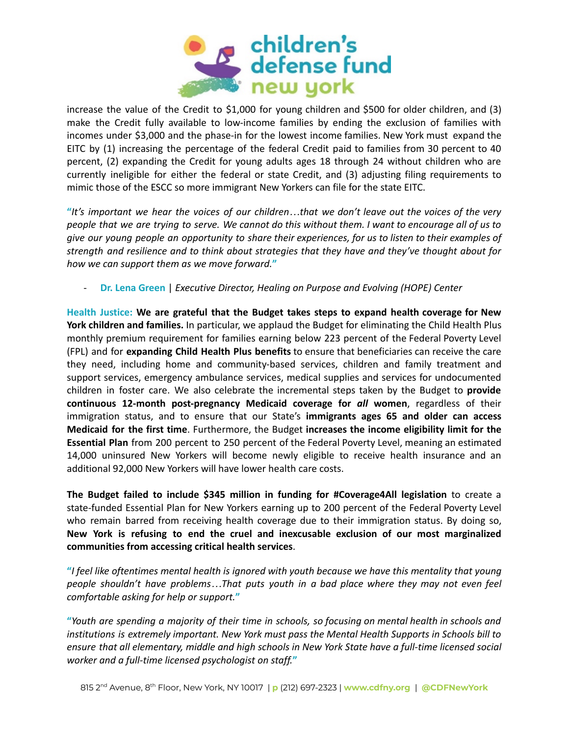

increase the value of the Credit to \$1,000 for young children and \$500 for older children, and (3) make the Credit fully available to low-income families by ending the exclusion of families with incomes under \$3,000 and the phase-in for the lowest income families. New York must expand the EITC by (1) increasing the percentage of the federal Credit paid to families from 30 percent to 40 percent, (2) expanding the Credit for young adults ages 18 through 24 without children who are currently ineligible for either the federal or state Credit, and (3) adjusting filing requirements to mimic those of the ESCC so more immigrant New Yorkers can file for the state EITC.

"It's important we hear the voices of our children...that we don't leave out the voices of the very people that we are trying to serve. We cannot do this without them. I want to encourage all of us to give our young people an opportunity to share their experiences, for us to listen to their examples of *strength and resilience and to think about strategies that they have and they've thought about for how we can support them as we move forward.***"**

- **Dr. Lena Green** | *Executive Director, Healing on Purpose and Evolving (HOPE) Center*

**Health Justice: We are grateful that the Budget takes steps to expand health coverage for New York children and families.** In particular, we applaud the Budget for eliminating the Child Health Plus monthly premium requirement for families earning below 223 percent of the Federal Poverty Level (FPL) and for **expanding Child Health Plus benefits** to ensure that beneficiaries can receive the care they need, including home and community-based services, children and family treatment and support services, emergency ambulance services, medical supplies and services for undocumented children in foster care. We also celebrate the incremental steps taken by the Budget to **provide continuous 12-month post-pregnancy Medicaid coverage for** *all* **women**, regardless of their immigration status, and to ensure that our State's **immigrants ages 65 and older can access Medicaid for the first time**. Furthermore, the Budget **increases the income eligibility limit for the Essential Plan** from 200 percent to 250 percent of the Federal Poverty Level, meaning an estimated 14,000 uninsured New Yorkers will become newly eligible to receive health insurance and an additional 92,000 New Yorkers will have lower health care costs.

**The Budget failed to include \$345 million in funding for #Coverage4All legislation** to create a state-funded Essential Plan for New Yorkers earning up to 200 percent of the Federal Poverty Level who remain barred from receiving health coverage due to their immigration status. By doing so, **New York is refusing to end the cruel and inexcusable exclusion of our most marginalized communities from accessing critical health services**.

"I feel like oftentimes mental health is ignored with youth because we have this mentality that young *people shouldn't have problems…That puts youth in a bad place where they may not even feel comfortable asking for help or support.***"**

"Youth are spending a majority of their time in schools, so focusing on mental health in schools and *institutions is extremely important. New York must pass the Mental Health Supports in Schools bill to ensure that all elementary, middle and high schools in New York State have a full-time licensed social worker and a full-time licensed psychologist on staff.***"**